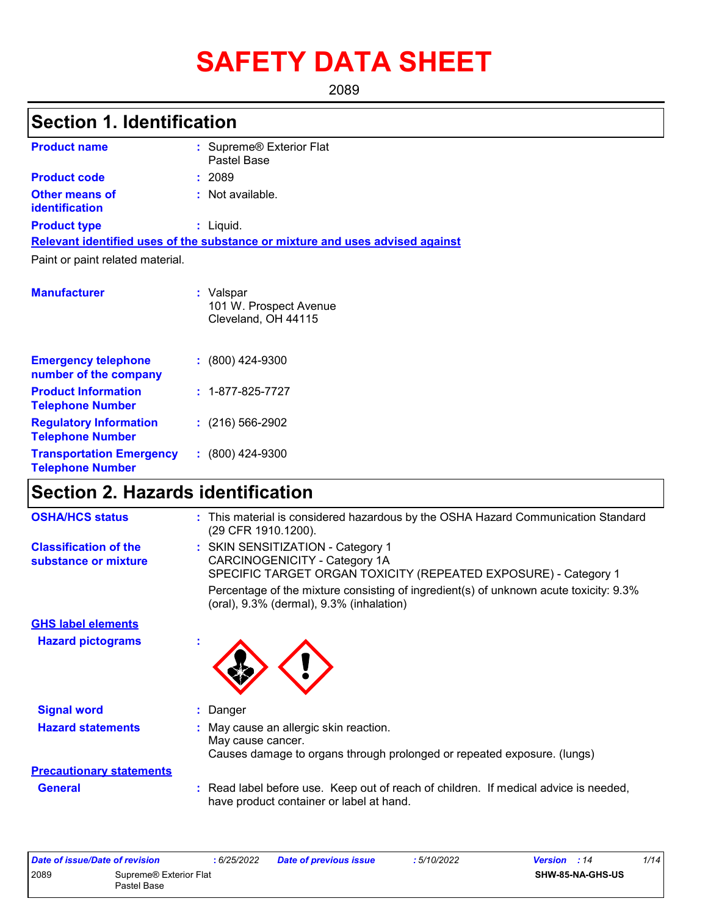# **SAFETY DATA SHEET**

2089

## **Section 1. Identification**

| <b>Product name</b>                            | : Supreme® Exterior Flat<br>Pastel Base                                       |
|------------------------------------------------|-------------------------------------------------------------------------------|
| <b>Product code</b>                            | : 2089                                                                        |
| <b>Other means of</b><br><b>identification</b> | : Not available.                                                              |
| <b>Product type</b>                            | $:$ Liquid.                                                                   |
|                                                | Relevant identified uses of the substance or mixture and uses advised against |
| Paint or paint related material.               |                                                                               |
| <b>Manufacturer</b>                            | Valspar                                                                       |

101 W. Prospect Avenue

|                                                            | Cleveland, OH 44115      |
|------------------------------------------------------------|--------------------------|
| <b>Emergency telephone</b><br>number of the company        | $: (800)$ 424-9300       |
| <b>Product Information</b><br><b>Telephone Number</b>      | $: 1 - 877 - 825 - 7727$ |
| <b>Regulatory Information</b><br><b>Telephone Number</b>   | $: (216) 566 - 2902$     |
| <b>Transportation Emergency</b><br><b>Telephone Number</b> | $: (800)$ 424-9300       |

## **Section 2. Hazards identification**

| <b>OSHA/HCS status</b>                               | : This material is considered hazardous by the OSHA Hazard Communication Standard<br>(29 CFR 1910.1200).                              |
|------------------------------------------------------|---------------------------------------------------------------------------------------------------------------------------------------|
| <b>Classification of the</b><br>substance or mixture | : SKIN SENSITIZATION - Category 1<br>CARCINOGENICITY - Category 1A<br>SPECIFIC TARGET ORGAN TOXICITY (REPEATED EXPOSURE) - Category 1 |
|                                                      | Percentage of the mixture consisting of ingredient(s) of unknown acute toxicity: 9.3%<br>(oral), 9.3% (dermal), 9.3% (inhalation)     |
| <b>GHS label elements</b>                            |                                                                                                                                       |
| <b>Hazard pictograms</b>                             | $\mathbf{r}$                                                                                                                          |
| <b>Signal word</b>                                   | Danger<br>÷.                                                                                                                          |
| <b>Hazard statements</b>                             | May cause an allergic skin reaction.<br>May cause cancer.<br>Causes damage to organs through prolonged or repeated exposure. (lungs)  |
| <b>Precautionary statements</b>                      |                                                                                                                                       |
| <b>General</b>                                       | Read label before use. Keep out of reach of children. If medical advice is needed,<br>have product container or label at hand.        |

| Date of issue/Date of revision |                                       | : 6/25/2022 | <b>Date of previous issue</b> | :5/10/2022 | <b>Version</b> : 14     | 1/14 |
|--------------------------------|---------------------------------------|-------------|-------------------------------|------------|-------------------------|------|
| 2089                           | Supreme® Exterior Flat<br>Pastel Base |             |                               |            | <b>SHW-85-NA-GHS-US</b> |      |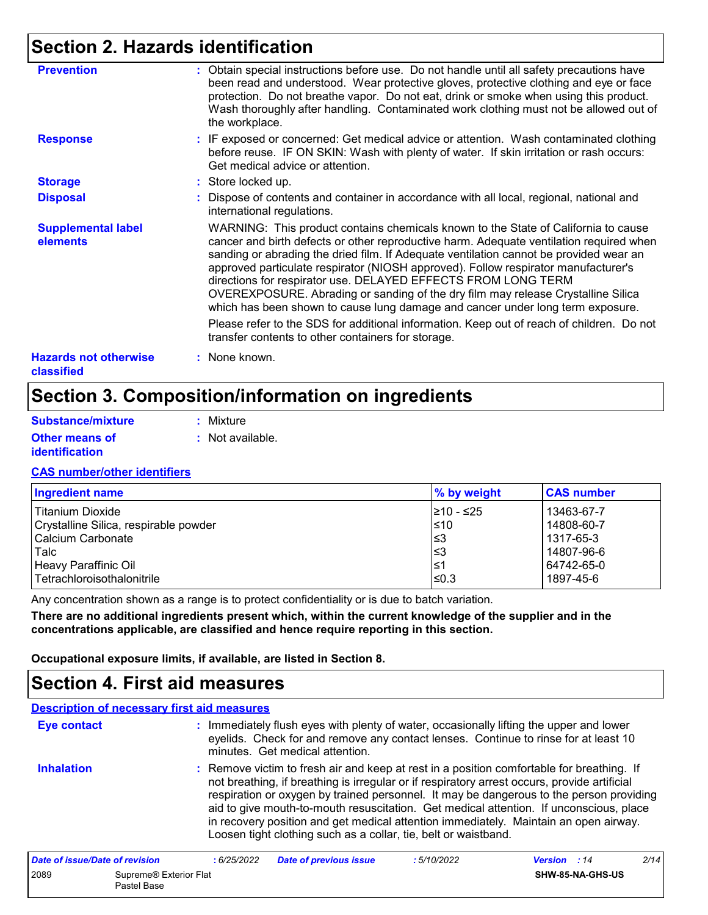## **Section 2. Hazards identification**

| <b>Prevention</b>                          | : Obtain special instructions before use. Do not handle until all safety precautions have<br>been read and understood. Wear protective gloves, protective clothing and eye or face<br>protection. Do not breathe vapor. Do not eat, drink or smoke when using this product.<br>Wash thoroughly after handling. Contaminated work clothing must not be allowed out of<br>the workplace.                                                                                                                                                                                                               |
|--------------------------------------------|------------------------------------------------------------------------------------------------------------------------------------------------------------------------------------------------------------------------------------------------------------------------------------------------------------------------------------------------------------------------------------------------------------------------------------------------------------------------------------------------------------------------------------------------------------------------------------------------------|
| <b>Response</b>                            | : IF exposed or concerned: Get medical advice or attention. Wash contaminated clothing<br>before reuse. IF ON SKIN: Wash with plenty of water. If skin irritation or rash occurs:<br>Get medical advice or attention.                                                                                                                                                                                                                                                                                                                                                                                |
| <b>Storage</b>                             | : Store locked up.                                                                                                                                                                                                                                                                                                                                                                                                                                                                                                                                                                                   |
| <b>Disposal</b>                            | : Dispose of contents and container in accordance with all local, regional, national and<br>international regulations.                                                                                                                                                                                                                                                                                                                                                                                                                                                                               |
| <b>Supplemental label</b><br>elements      | WARNING: This product contains chemicals known to the State of California to cause<br>cancer and birth defects or other reproductive harm. Adequate ventilation required when<br>sanding or abrading the dried film. If Adequate ventilation cannot be provided wear an<br>approved particulate respirator (NIOSH approved). Follow respirator manufacturer's<br>directions for respirator use. DELAYED EFFECTS FROM LONG TERM<br>OVEREXPOSURE. Abrading or sanding of the dry film may release Crystalline Silica<br>which has been shown to cause lung damage and cancer under long term exposure. |
|                                            | Please refer to the SDS for additional information. Keep out of reach of children. Do not<br>transfer contents to other containers for storage.                                                                                                                                                                                                                                                                                                                                                                                                                                                      |
| <b>Hazards not otherwise</b><br>classified | : None known.                                                                                                                                                                                                                                                                                                                                                                                                                                                                                                                                                                                        |

### **Section 3. Composition/information on ingredients**

| Substance/mixture     | : Mixture        |
|-----------------------|------------------|
| <b>Other means of</b> | : Not available. |
| <i>identification</i> |                  |

#### **CAS number/other identifiers**

| <b>Ingredient name</b>                | % by weight | <b>CAS number</b> |
|---------------------------------------|-------------|-------------------|
| <b>Titanium Dioxide</b>               | 1≥10 - ≤25  | 13463-67-7        |
| Crystalline Silica, respirable powder | $\leq 10$   | 14808-60-7        |
| Calcium Carbonate                     | l≤3         | 1317-65-3         |
| Talc                                  | l≤3         | 14807-96-6        |
| Heavy Paraffinic Oil                  | 1≤1         | 64742-65-0        |
| l Tetrachloroisothalonitrile          | 1≤0.3       | 1897-45-6         |

Any concentration shown as a range is to protect confidentiality or is due to batch variation.

**There are no additional ingredients present which, within the current knowledge of the supplier and in the concentrations applicable, are classified and hence require reporting in this section.**

**Occupational exposure limits, if available, are listed in Section 8.**

### **Section 4. First aid measures**

Pastel Base

#### **:** Immediately flush eyes with plenty of water, occasionally lifting the upper and lower eyelids. Check for and remove any contact lenses. Continue to rinse for at least 10 minutes. Get medical attention. Remove victim to fresh air and keep at rest in a position comfortable for breathing. If not breathing, if breathing is irregular or if respiratory arrest occurs, provide artificial respiration or oxygen by trained personnel. It may be dangerous to the person providing aid to give mouth-to-mouth resuscitation. Get medical attention. If unconscious, place in recovery position and get medical attention immediately. Maintain an open airway. Loosen tight clothing such as a collar, tie, belt or waistband. **Eye contact Inhalation : Description of necessary first aid measures** *Date of issue/Date of revision* **:** *6/25/2022 Date of previous issue : 5/10/2022 Version : 14 2/14* 2089 Supreme® Exterior Flat **SHW-85-NA-GHS-US**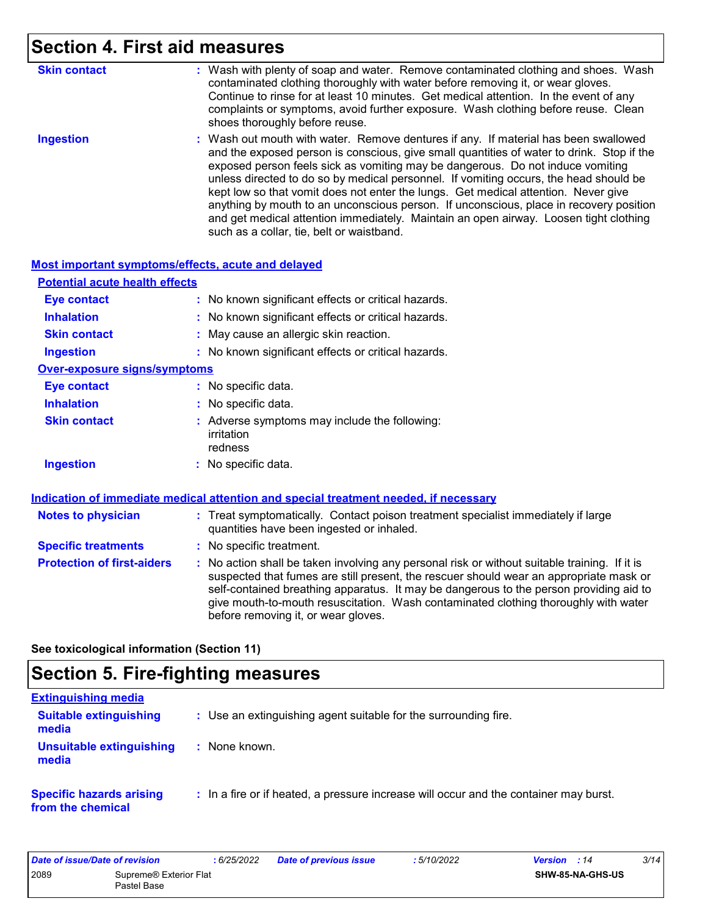## **Section 4. First aid measures**

| <b>Skin contact</b> | : Wash with plenty of soap and water. Remove contaminated clothing and shoes. Wash<br>contaminated clothing thoroughly with water before removing it, or wear gloves.<br>Continue to rinse for at least 10 minutes. Get medical attention. In the event of any<br>complaints or symptoms, avoid further exposure. Wash clothing before reuse. Clean<br>shoes thoroughly before reuse.                                                                                                                                                                                                                                                                                             |
|---------------------|-----------------------------------------------------------------------------------------------------------------------------------------------------------------------------------------------------------------------------------------------------------------------------------------------------------------------------------------------------------------------------------------------------------------------------------------------------------------------------------------------------------------------------------------------------------------------------------------------------------------------------------------------------------------------------------|
| <b>Ingestion</b>    | : Wash out mouth with water. Remove dentures if any. If material has been swallowed<br>and the exposed person is conscious, give small quantities of water to drink. Stop if the<br>exposed person feels sick as vomiting may be dangerous. Do not induce vomiting<br>unless directed to do so by medical personnel. If vomiting occurs, the head should be<br>kept low so that vomit does not enter the lungs. Get medical attention. Never give<br>anything by mouth to an unconscious person. If unconscious, place in recovery position<br>and get medical attention immediately. Maintain an open airway. Loosen tight clothing<br>such as a collar, tie, belt or waistband. |

#### **Most important symptoms/effects, acute and delayed**

| <b>Potential acute health effects</b> |                                                                                      |
|---------------------------------------|--------------------------------------------------------------------------------------|
| <b>Eye contact</b>                    | : No known significant effects or critical hazards.                                  |
| <b>Inhalation</b>                     | : No known significant effects or critical hazards.                                  |
| <b>Skin contact</b>                   | : May cause an allergic skin reaction.                                               |
| <b>Ingestion</b>                      | : No known significant effects or critical hazards.                                  |
| <b>Over-exposure signs/symptoms</b>   |                                                                                      |
| <b>Eye contact</b>                    | : No specific data.                                                                  |
| <b>Inhalation</b>                     | : No specific data.                                                                  |
| <b>Skin contact</b>                   | : Adverse symptoms may include the following:<br>irritation<br>redness               |
| <b>Ingestion</b>                      | $:$ No specific data.                                                                |
|                                       | Indication of immediate medical attention and special treatment needed, if necessary |

| <b>Notes to physician</b>         | : Treat symptomatically. Contact poison treatment specialist immediately if large<br>quantities have been ingested or inhaled.                                                                                                                                                                                                                                                                                  |
|-----------------------------------|-----------------------------------------------------------------------------------------------------------------------------------------------------------------------------------------------------------------------------------------------------------------------------------------------------------------------------------------------------------------------------------------------------------------|
| <b>Specific treatments</b>        | : No specific treatment.                                                                                                                                                                                                                                                                                                                                                                                        |
| <b>Protection of first-aiders</b> | : No action shall be taken involving any personal risk or without suitable training. If it is<br>suspected that fumes are still present, the rescuer should wear an appropriate mask or<br>self-contained breathing apparatus. It may be dangerous to the person providing aid to<br>give mouth-to-mouth resuscitation. Wash contaminated clothing thoroughly with water<br>before removing it, or wear gloves. |

**See toxicological information (Section 11)**

## **Section 5. Fire-fighting measures**

| <b>Extinguishing media</b>                           |                                                                                       |
|------------------------------------------------------|---------------------------------------------------------------------------------------|
| <b>Suitable extinguishing</b><br>media               | : Use an extinguishing agent suitable for the surrounding fire.                       |
| <b>Unsuitable extinguishing</b><br>media             | : None known.                                                                         |
| <b>Specific hazards arising</b><br>from the chemical | : In a fire or if heated, a pressure increase will occur and the container may burst. |

| Date of issue/Date of revision |                                       | : 6/25/2022 | <b>Date of previous issue</b> | 5/10/2022 | <b>Version</b> : 14 |                  | 3/14 |
|--------------------------------|---------------------------------------|-------------|-------------------------------|-----------|---------------------|------------------|------|
| 2089                           | Supreme® Exterior Flat<br>Pastel Base |             |                               |           |                     | SHW-85-NA-GHS-US |      |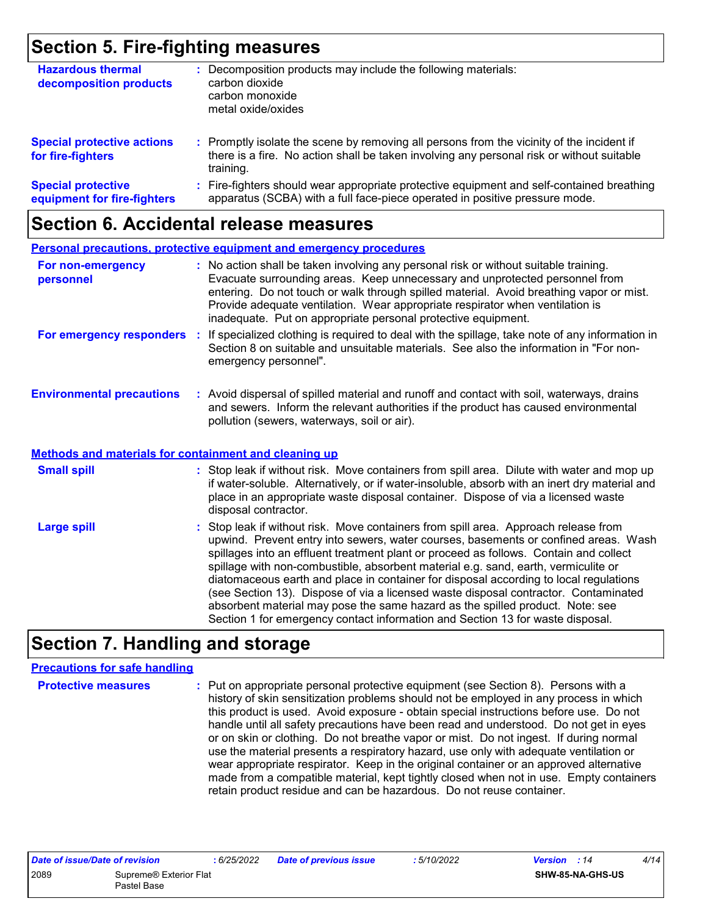### **Section 5. Fire-fighting measures**

| <b>Hazardous thermal</b><br>decomposition products       | Decomposition products may include the following materials:<br>carbon dioxide<br>carbon monoxide<br>metal oxide/oxides                                                                              |
|----------------------------------------------------------|-----------------------------------------------------------------------------------------------------------------------------------------------------------------------------------------------------|
| <b>Special protective actions</b><br>for fire-fighters   | : Promptly isolate the scene by removing all persons from the vicinity of the incident if<br>there is a fire. No action shall be taken involving any personal risk or without suitable<br>training. |
| <b>Special protective</b><br>equipment for fire-fighters | : Fire-fighters should wear appropriate protective equipment and self-contained breathing<br>apparatus (SCBA) with a full face-piece operated in positive pressure mode.                            |

### **Section 6. Accidental release measures**

|                                                              | <b>Personal precautions, protective equipment and emergency procedures</b>                                                                                                                                                                                                                                                                                                                                                                                                                                                                                                                                                                                                                                   |
|--------------------------------------------------------------|--------------------------------------------------------------------------------------------------------------------------------------------------------------------------------------------------------------------------------------------------------------------------------------------------------------------------------------------------------------------------------------------------------------------------------------------------------------------------------------------------------------------------------------------------------------------------------------------------------------------------------------------------------------------------------------------------------------|
| For non-emergency<br>personnel                               | : No action shall be taken involving any personal risk or without suitable training.<br>Evacuate surrounding areas. Keep unnecessary and unprotected personnel from<br>entering. Do not touch or walk through spilled material. Avoid breathing vapor or mist.<br>Provide adequate ventilation. Wear appropriate respirator when ventilation is<br>inadequate. Put on appropriate personal protective equipment.                                                                                                                                                                                                                                                                                             |
| For emergency responders                                     | : If specialized clothing is required to deal with the spillage, take note of any information in<br>Section 8 on suitable and unsuitable materials. See also the information in "For non-<br>emergency personnel".                                                                                                                                                                                                                                                                                                                                                                                                                                                                                           |
| <b>Environmental precautions</b>                             | : Avoid dispersal of spilled material and runoff and contact with soil, waterways, drains<br>and sewers. Inform the relevant authorities if the product has caused environmental<br>pollution (sewers, waterways, soil or air).                                                                                                                                                                                                                                                                                                                                                                                                                                                                              |
| <b>Methods and materials for containment and cleaning up</b> |                                                                                                                                                                                                                                                                                                                                                                                                                                                                                                                                                                                                                                                                                                              |
| <b>Small spill</b>                                           | : Stop leak if without risk. Move containers from spill area. Dilute with water and mop up<br>if water-soluble. Alternatively, or if water-insoluble, absorb with an inert dry material and<br>place in an appropriate waste disposal container. Dispose of via a licensed waste<br>disposal contractor.                                                                                                                                                                                                                                                                                                                                                                                                     |
| <b>Large spill</b>                                           | : Stop leak if without risk. Move containers from spill area. Approach release from<br>upwind. Prevent entry into sewers, water courses, basements or confined areas. Wash<br>spillages into an effluent treatment plant or proceed as follows. Contain and collect<br>spillage with non-combustible, absorbent material e.g. sand, earth, vermiculite or<br>diatomaceous earth and place in container for disposal according to local regulations<br>(see Section 13). Dispose of via a licensed waste disposal contractor. Contaminated<br>absorbent material may pose the same hazard as the spilled product. Note: see<br>Section 1 for emergency contact information and Section 13 for waste disposal. |

### **Section 7. Handling and storage**

#### **Precautions for safe handling**

**Protective measures :** Put on appropriate personal protective equipment (see Section 8). Persons with a history of skin sensitization problems should not be employed in any process in which this product is used. Avoid exposure - obtain special instructions before use. Do not handle until all safety precautions have been read and understood. Do not get in eyes or on skin or clothing. Do not breathe vapor or mist. Do not ingest. If during normal use the material presents a respiratory hazard, use only with adequate ventilation or wear appropriate respirator. Keep in the original container or an approved alternative made from a compatible material, kept tightly closed when not in use. Empty containers retain product residue and can be hazardous. Do not reuse container.

| Date of issue/Date of revision |                                       | 6/25/2022 | <b>Date of previous issue</b> | 5/10/2022 | <b>Version</b> : 14 | 4/14 |
|--------------------------------|---------------------------------------|-----------|-------------------------------|-----------|---------------------|------|
| 2089                           | Supreme® Exterior Flat<br>Pastel Base |           |                               |           | SHW-85-NA-GHS-US    |      |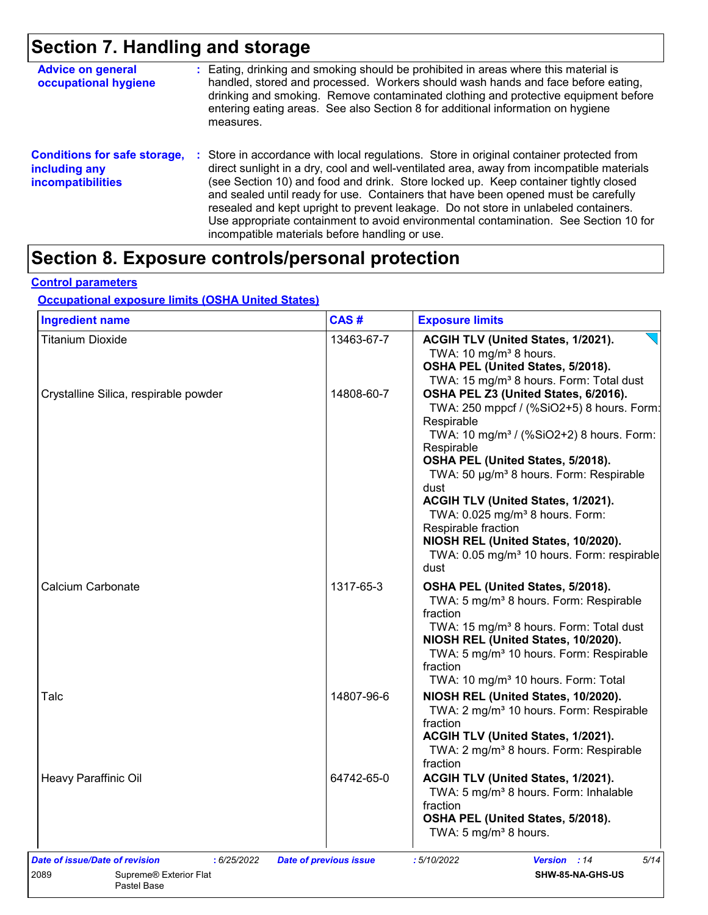## **Section 7. Handling and storage**

| <b>Advice on general</b><br>occupational hygiene                                 | : Eating, drinking and smoking should be prohibited in areas where this material is<br>handled, stored and processed. Workers should wash hands and face before eating,<br>drinking and smoking. Remove contaminated clothing and protective equipment before<br>entering eating areas. See also Section 8 for additional information on hygiene<br>measures.                                                                                                                                                                                                                                       |
|----------------------------------------------------------------------------------|-----------------------------------------------------------------------------------------------------------------------------------------------------------------------------------------------------------------------------------------------------------------------------------------------------------------------------------------------------------------------------------------------------------------------------------------------------------------------------------------------------------------------------------------------------------------------------------------------------|
| <b>Conditions for safe storage,</b><br>including any<br><b>incompatibilities</b> | : Store in accordance with local regulations. Store in original container protected from<br>direct sunlight in a dry, cool and well-ventilated area, away from incompatible materials<br>(see Section 10) and food and drink. Store locked up. Keep container tightly closed<br>and sealed until ready for use. Containers that have been opened must be carefully<br>resealed and kept upright to prevent leakage. Do not store in unlabeled containers.<br>Use appropriate containment to avoid environmental contamination. See Section 10 for<br>incompatible materials before handling or use. |

## **Section 8. Exposure controls/personal protection**

#### **Control parameters**

#### **Occupational exposure limits (OSHA United States)**

| <b>Ingredient name</b>                | CAS#       | <b>Exposure limits</b>                                                                                                                                                                                                                                                                                                                                                                                                                                                                         |
|---------------------------------------|------------|------------------------------------------------------------------------------------------------------------------------------------------------------------------------------------------------------------------------------------------------------------------------------------------------------------------------------------------------------------------------------------------------------------------------------------------------------------------------------------------------|
| <b>Titanium Dioxide</b>               | 13463-67-7 | ACGIH TLV (United States, 1/2021).<br>TWA: 10 mg/m <sup>3</sup> 8 hours.<br>OSHA PEL (United States, 5/2018).<br>TWA: 15 mg/m <sup>3</sup> 8 hours. Form: Total dust                                                                                                                                                                                                                                                                                                                           |
| Crystalline Silica, respirable powder | 14808-60-7 | OSHA PEL Z3 (United States, 6/2016).<br>TWA: 250 mppcf / (%SiO2+5) 8 hours. Form:<br>Respirable<br>TWA: 10 mg/m <sup>3</sup> / (%SiO2+2) 8 hours. Form:<br>Respirable<br>OSHA PEL (United States, 5/2018).<br>TWA: 50 µg/m <sup>3</sup> 8 hours. Form: Respirable<br>dust<br>ACGIH TLV (United States, 1/2021).<br>TWA: 0.025 mg/m <sup>3</sup> 8 hours. Form:<br>Respirable fraction<br>NIOSH REL (United States, 10/2020).<br>TWA: 0.05 mg/m <sup>3</sup> 10 hours. Form: respirable<br>dust |
| Calcium Carbonate                     | 1317-65-3  | OSHA PEL (United States, 5/2018).<br>TWA: 5 mg/m <sup>3</sup> 8 hours. Form: Respirable<br>fraction<br>TWA: 15 mg/m <sup>3</sup> 8 hours. Form: Total dust<br>NIOSH REL (United States, 10/2020).<br>TWA: 5 mg/m <sup>3</sup> 10 hours. Form: Respirable<br>fraction<br>TWA: 10 mg/m <sup>3</sup> 10 hours. Form: Total                                                                                                                                                                        |
| Talc                                  | 14807-96-6 | NIOSH REL (United States, 10/2020).<br>TWA: 2 mg/m <sup>3</sup> 10 hours. Form: Respirable<br>fraction<br>ACGIH TLV (United States, 1/2021).<br>TWA: 2 mg/m <sup>3</sup> 8 hours. Form: Respirable<br>fraction                                                                                                                                                                                                                                                                                 |
| Heavy Paraffinic Oil                  | 64742-65-0 | ACGIH TLV (United States, 1/2021).<br>TWA: 5 mg/m <sup>3</sup> 8 hours. Form: Inhalable<br>fraction<br>OSHA PEL (United States, 5/2018).<br>TWA: 5 mg/m <sup>3</sup> 8 hours.                                                                                                                                                                                                                                                                                                                  |
|                                       |            |                                                                                                                                                                                                                                                                                                                                                                                                                                                                                                |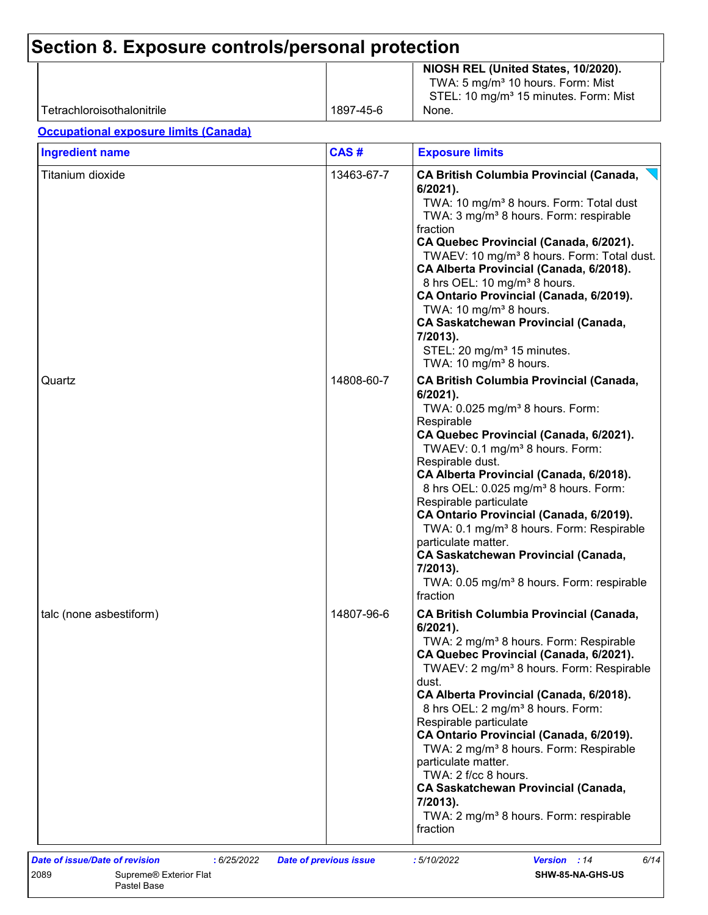| Tetrachloroisothalonitrile                   | 1897-45-6  | NIOSH REL (United States, 10/2020).<br>TWA: 5 mg/m <sup>3</sup> 10 hours. Form: Mist<br>STEL: 10 mg/m <sup>3</sup> 15 minutes. Form: Mist<br>None.                                                                                                                                                                                                                                                                                                                                                                                                                                                                            |
|----------------------------------------------|------------|-------------------------------------------------------------------------------------------------------------------------------------------------------------------------------------------------------------------------------------------------------------------------------------------------------------------------------------------------------------------------------------------------------------------------------------------------------------------------------------------------------------------------------------------------------------------------------------------------------------------------------|
| <b>Occupational exposure limits (Canada)</b> |            |                                                                                                                                                                                                                                                                                                                                                                                                                                                                                                                                                                                                                               |
| <b>Ingredient name</b>                       | CAS#       | <b>Exposure limits</b>                                                                                                                                                                                                                                                                                                                                                                                                                                                                                                                                                                                                        |
| Titanium dioxide                             | 13463-67-7 | <b>CA British Columbia Provincial (Canada,</b><br>6/2021).<br>TWA: 10 mg/m <sup>3</sup> 8 hours. Form: Total dust<br>TWA: 3 mg/m <sup>3</sup> 8 hours. Form: respirable<br>fraction<br>CA Quebec Provincial (Canada, 6/2021).<br>TWAEV: 10 mg/m <sup>3</sup> 8 hours. Form: Total dust.<br>CA Alberta Provincial (Canada, 6/2018).<br>8 hrs OEL: 10 mg/m <sup>3</sup> 8 hours.<br>CA Ontario Provincial (Canada, 6/2019).<br>TWA: 10 mg/m <sup>3</sup> 8 hours.<br><b>CA Saskatchewan Provincial (Canada,</b><br>7/2013).<br>STEL: 20 mg/m <sup>3</sup> 15 minutes.<br>TWA: 10 mg/m <sup>3</sup> 8 hours.                     |
| Quartz                                       | 14808-60-7 | <b>CA British Columbia Provincial (Canada,</b><br>6/2021).<br>TWA: 0.025 mg/m <sup>3</sup> 8 hours. Form:<br>Respirable<br>CA Quebec Provincial (Canada, 6/2021).<br>TWAEV: 0.1 mg/m <sup>3</sup> 8 hours. Form:<br>Respirable dust.<br>CA Alberta Provincial (Canada, 6/2018).<br>8 hrs OEL: 0.025 mg/m <sup>3</sup> 8 hours. Form:<br>Respirable particulate<br>CA Ontario Provincial (Canada, 6/2019).<br>TWA: 0.1 mg/m <sup>3</sup> 8 hours. Form: Respirable<br>particulate matter.<br><b>CA Saskatchewan Provincial (Canada,</b><br>7/2013).<br>TWA: 0.05 mg/m <sup>3</sup> 8 hours. Form: respirable<br>fraction       |
| talc (none asbestiform)                      | 14807-96-6 | <b>CA British Columbia Provincial (Canada,</b><br>6/2021).<br>TWA: 2 mg/m <sup>3</sup> 8 hours. Form: Respirable<br>CA Quebec Provincial (Canada, 6/2021).<br>TWAEV: 2 mg/m <sup>3</sup> 8 hours. Form: Respirable<br>dust.<br>CA Alberta Provincial (Canada, 6/2018).<br>8 hrs OEL: 2 mg/m <sup>3</sup> 8 hours. Form:<br>Respirable particulate<br>CA Ontario Provincial (Canada, 6/2019).<br>TWA: 2 mg/m <sup>3</sup> 8 hours. Form: Respirable<br>particulate matter.<br>TWA: 2 f/cc 8 hours.<br><b>CA Saskatchewan Provincial (Canada,</b><br>7/2013).<br>TWA: 2 mg/m <sup>3</sup> 8 hours. Form: respirable<br>fraction |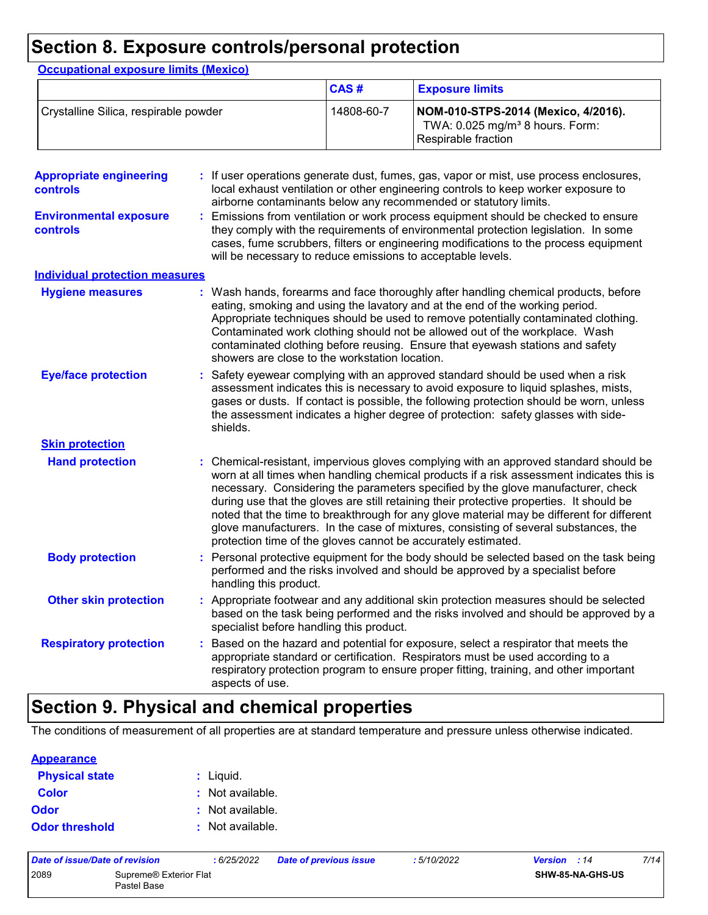### **Section 8. Exposure controls/personal protection**

|                                            |                 | CAS#                                                          | <b>Exposure limits</b>                                                                                                                                                                                                                                                                                                                                                                                                                                                                                                                                |  |  |  |
|--------------------------------------------|-----------------|---------------------------------------------------------------|-------------------------------------------------------------------------------------------------------------------------------------------------------------------------------------------------------------------------------------------------------------------------------------------------------------------------------------------------------------------------------------------------------------------------------------------------------------------------------------------------------------------------------------------------------|--|--|--|
| Crystalline Silica, respirable powder      |                 | 14808-60-7                                                    | NOM-010-STPS-2014 (Mexico, 4/2016).<br>TWA: 0.025 mg/m <sup>3</sup> 8 hours. Form:<br>Respirable fraction                                                                                                                                                                                                                                                                                                                                                                                                                                             |  |  |  |
| <b>Appropriate engineering</b><br>controls |                 |                                                               | If user operations generate dust, fumes, gas, vapor or mist, use process enclosures,<br>local exhaust ventilation or other engineering controls to keep worker exposure to<br>airborne contaminants below any recommended or statutory limits.                                                                                                                                                                                                                                                                                                        |  |  |  |
| <b>Environmental exposure</b><br>controls  |                 |                                                               | Emissions from ventilation or work process equipment should be checked to ensure<br>they comply with the requirements of environmental protection legislation. In some<br>cases, fume scrubbers, filters or engineering modifications to the process equipment<br>will be necessary to reduce emissions to acceptable levels.                                                                                                                                                                                                                         |  |  |  |
| <b>Individual protection measures</b>      |                 |                                                               |                                                                                                                                                                                                                                                                                                                                                                                                                                                                                                                                                       |  |  |  |
| <b>Hygiene measures</b>                    |                 | showers are close to the workstation location.                | Wash hands, forearms and face thoroughly after handling chemical products, before<br>eating, smoking and using the lavatory and at the end of the working period.<br>Appropriate techniques should be used to remove potentially contaminated clothing.<br>Contaminated work clothing should not be allowed out of the workplace. Wash<br>contaminated clothing before reusing. Ensure that eyewash stations and safety                                                                                                                               |  |  |  |
| <b>Eye/face protection</b>                 | shields.        |                                                               | Safety eyewear complying with an approved standard should be used when a risk<br>assessment indicates this is necessary to avoid exposure to liquid splashes, mists,<br>gases or dusts. If contact is possible, the following protection should be worn, unless<br>the assessment indicates a higher degree of protection: safety glasses with side-                                                                                                                                                                                                  |  |  |  |
| <b>Skin protection</b>                     |                 |                                                               |                                                                                                                                                                                                                                                                                                                                                                                                                                                                                                                                                       |  |  |  |
| <b>Hand protection</b>                     |                 | protection time of the gloves cannot be accurately estimated. | : Chemical-resistant, impervious gloves complying with an approved standard should be<br>worn at all times when handling chemical products if a risk assessment indicates this is<br>necessary. Considering the parameters specified by the glove manufacturer, check<br>during use that the gloves are still retaining their protective properties. It should be<br>noted that the time to breakthrough for any glove material may be different for different<br>glove manufacturers. In the case of mixtures, consisting of several substances, the |  |  |  |
| <b>Body protection</b>                     |                 | handling this product.                                        | Personal protective equipment for the body should be selected based on the task being<br>performed and the risks involved and should be approved by a specialist before                                                                                                                                                                                                                                                                                                                                                                               |  |  |  |
| <b>Other skin protection</b>               |                 | specialist before handling this product.                      | Appropriate footwear and any additional skin protection measures should be selected<br>based on the task being performed and the risks involved and should be approved by a                                                                                                                                                                                                                                                                                                                                                                           |  |  |  |
| <b>Respiratory protection</b>              | aspects of use. |                                                               | Based on the hazard and potential for exposure, select a respirator that meets the<br>appropriate standard or certification. Respirators must be used according to a<br>respiratory protection program to ensure proper fitting, training, and other important                                                                                                                                                                                                                                                                                        |  |  |  |

## **Section 9. Physical and chemical properties**

The conditions of measurement of all properties are at standard temperature and pressure unless otherwise indicated.

| <b>Appearance</b>     |                  |
|-----------------------|------------------|
| <b>Physical state</b> | : Liquid.        |
| <b>Color</b>          | : Not available. |
| <b>Odor</b>           | : Not available. |
| <b>Odor threshold</b> | : Not available. |

| Date of issue/Date of revision |                                       | 6/25/2022 | <b>Date of previous issue</b> | : 5/10/2022 | <b>Version</b> : 14 |                  | 7/14 |
|--------------------------------|---------------------------------------|-----------|-------------------------------|-------------|---------------------|------------------|------|
| 2089                           | Supreme® Exterior Flat<br>Pastel Base |           |                               |             |                     | SHW-85-NA-GHS-US |      |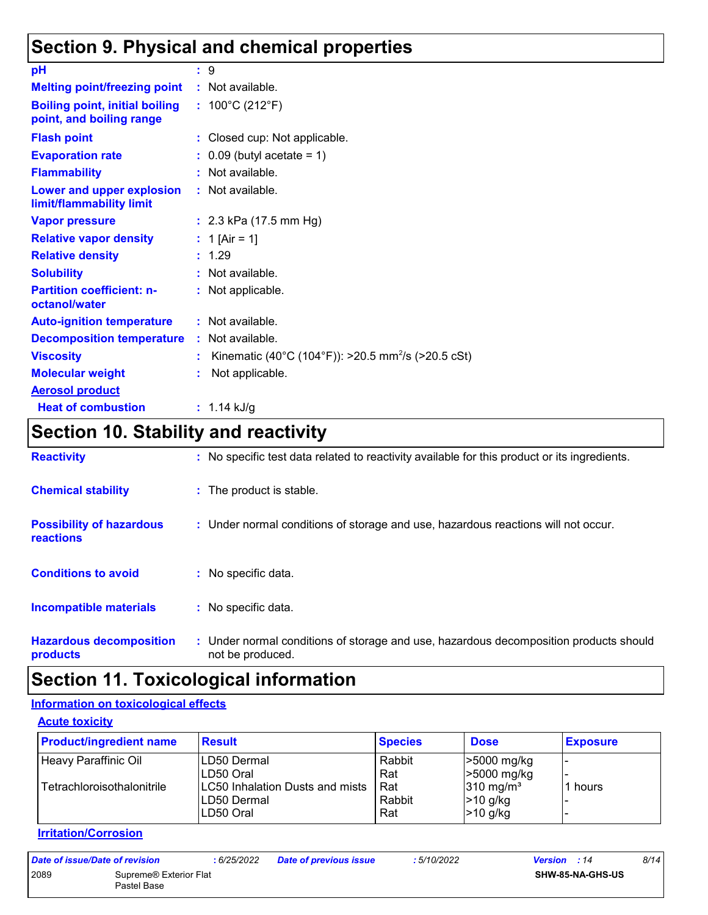## **Section 9. Physical and chemical properties**

| рH                                                                | ÷. | -9                                                             |
|-------------------------------------------------------------------|----|----------------------------------------------------------------|
| <b>Melting point/freezing point</b>                               |    | : Not available.                                               |
|                                                                   |    |                                                                |
| <b>Boiling point, initial boiling</b><br>point, and boiling range |    | : $100^{\circ}$ C (212 $^{\circ}$ F)                           |
| <b>Flash point</b>                                                | ÷. | Closed cup: Not applicable.                                    |
| <b>Evaporation rate</b>                                           |    | $0.09$ (butyl acetate = 1)                                     |
| <b>Flammability</b>                                               |    | : Not available.                                               |
| Lower and upper explosion<br>limit/flammability limit             |    | : Not available.                                               |
| <b>Vapor pressure</b>                                             |    | : $2.3$ kPa (17.5 mm Hg)                                       |
| <b>Relative vapor density</b>                                     |    | 1 [Air = 1]                                                    |
| <b>Relative density</b>                                           |    | 1.29                                                           |
| <b>Solubility</b>                                                 |    | Not available.                                                 |
| <b>Partition coefficient: n-</b><br>octanol/water                 |    | : Not applicable.                                              |
| <b>Auto-ignition temperature</b>                                  |    | : Not available.                                               |
| <b>Decomposition temperature</b>                                  |    | : Not available.                                               |
| <b>Viscosity</b>                                                  | ÷  | Kinematic (40°C (104°F)): >20.5 mm <sup>2</sup> /s (>20.5 cSt) |
| <b>Molecular weight</b>                                           |    | Not applicable.                                                |
| <b>Aerosol product</b>                                            |    |                                                                |
| <b>Heat of combustion</b>                                         |    | : $1.14$ kJ/g                                                  |

## **Section 10. Stability and reactivity**

| <b>Reactivity</b>                            | : No specific test data related to reactivity available for this product or its ingredients.              |
|----------------------------------------------|-----------------------------------------------------------------------------------------------------------|
| <b>Chemical stability</b>                    | : The product is stable.                                                                                  |
| <b>Possibility of hazardous</b><br>reactions | : Under normal conditions of storage and use, hazardous reactions will not occur.                         |
| <b>Conditions to avoid</b>                   | : No specific data.                                                                                       |
| <b>Incompatible materials</b>                | : No specific data.                                                                                       |
| <b>Hazardous decomposition</b><br>products   | : Under normal conditions of storage and use, hazardous decomposition products should<br>not be produced. |

## **Section 11. Toxicological information**

#### **Information on toxicological effects**

| <b>Product/ingredient name</b> | <b>Result</b>                                               | <b>Species</b>       | <b>Dose</b>                                       | <b>Exposure</b> |
|--------------------------------|-------------------------------------------------------------|----------------------|---------------------------------------------------|-----------------|
| <b>Heavy Paraffinic Oil</b>    | LD50 Dermal<br>LD50 Oral                                    | Rabbit<br>Rat        | l>5000 mg/kg<br>$\geq 5000$ mg/kg                 |                 |
| Tetrachloroisothalonitrile     | LC50 Inhalation Dusts and mists<br>LD50 Dermal<br>LD50 Oral | Rat<br>Rabbit<br>Rat | $310 \text{ mg/m}^3$<br>$ >10$ g/kg<br>$>10$ g/kg | 1 hours         |

#### **Irritation/Corrosion**

| Date of issue/Date of revision |                                       | : 6/25/2022 | <b>Date of previous issue</b> | : 5/10/2022 | <b>Version</b> : 14 |                         | 8/14 |
|--------------------------------|---------------------------------------|-------------|-------------------------------|-------------|---------------------|-------------------------|------|
| 2089                           | Supreme® Exterior Flat<br>Pastel Base |             |                               |             |                     | <b>SHW-85-NA-GHS-US</b> |      |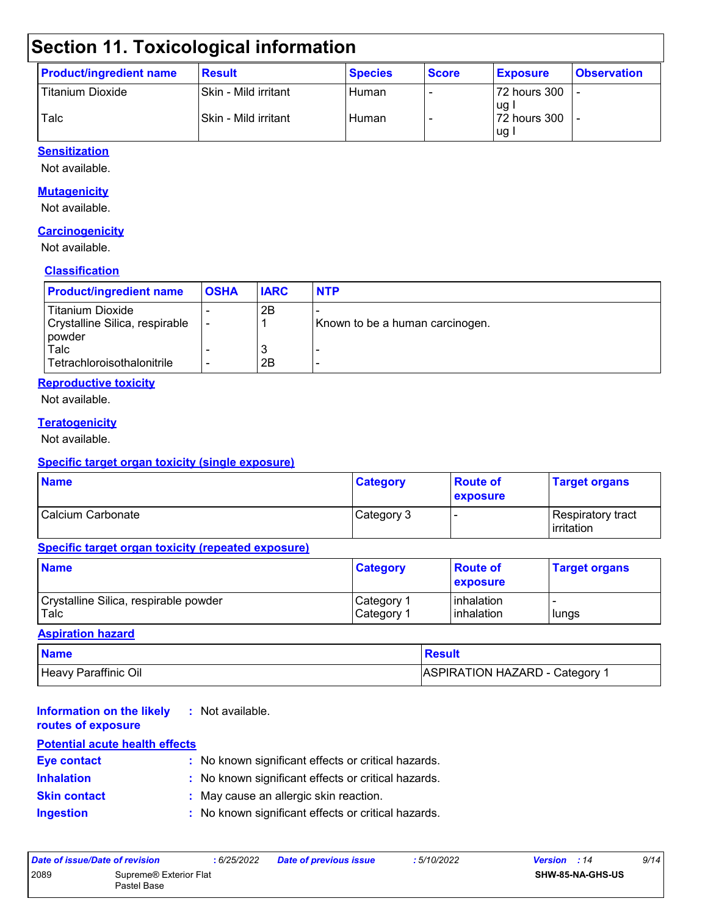## **Section 11. Toxicological information**

| <b>Product/ingredient name</b> | <b>Result</b>        | <b>Species</b> | <b>Score</b> | <b>Exposure</b>        | <b>Observation</b> |
|--------------------------------|----------------------|----------------|--------------|------------------------|--------------------|
| <b>Titanium Dioxide</b>        | Skin - Mild irritant | Human          |              | 72 hours 300           |                    |
| Talc                           | Skin - Mild irritant | Human          |              | lug l<br>172 hours 300 |                    |
|                                |                      |                |              | l ug i                 |                    |

#### **Sensitization**

Not available.

#### **Mutagenicity**

Not available.

#### **Carcinogenicity**

Not available.

#### **Classification**

| <b>Product/ingredient name</b>                                        | <b>OSHA</b> | <b>IARC</b> | <b>NTP</b>                      |
|-----------------------------------------------------------------------|-------------|-------------|---------------------------------|
| <b>Titanium Dioxide</b><br>Crystalline Silica, respirable<br>l powder |             | 2B          | Known to be a human carcinogen. |
| Talc<br>Tetrachloroisothalonitrile                                    |             | N<br>2Β     |                                 |

#### **Reproductive toxicity**

Not available.

#### **Teratogenicity**

Not available.

#### **Specific target organ toxicity (single exposure)**

| <b>Name</b>       | <b>Category</b> | <b>Route of</b><br><b>exposure</b> | <b>Target organs</b>                      |
|-------------------|-----------------|------------------------------------|-------------------------------------------|
| Calcium Carbonate | Category 3      |                                    | Respiratory tract_<br><b>l</b> irritation |

#### **Specific target organ toxicity (repeated exposure)**

| <b>Name</b>                           | <b>Category</b>         | <b>Route of</b><br><b>exposure</b> | <b>Target organs</b> |
|---------------------------------------|-------------------------|------------------------------------|----------------------|
| Crystalline Silica, respirable powder | Category 1              | l inhalation                       |                      |
| Talc                                  | I Category <sup>1</sup> | l inhalation                       | lungs                |

#### **Aspiration hazard**

| <b>Name</b>          | Result                         |
|----------------------|--------------------------------|
| Heavy Paraffinic Oil | ASPIRATION HAZARD - Category 1 |

| <b>Information on the likely</b><br>routes of exposure | : Not available.                                    |
|--------------------------------------------------------|-----------------------------------------------------|
| <b>Potential acute health effects</b>                  |                                                     |
| <b>Eye contact</b>                                     | : No known significant effects or critical hazards. |
| <b>Inhalation</b>                                      | : No known significant effects or critical hazards. |
| <b>Skin contact</b>                                    | : May cause an allergic skin reaction.              |
| <b>Ingestion</b>                                       | : No known significant effects or critical hazards. |

| Date of issue/Date of revision |                                       | : 6/25/2022 | <b>Date of previous issue</b> | : 5/10/2022 | <b>Version</b> : 14 |                         | 9/14 |
|--------------------------------|---------------------------------------|-------------|-------------------------------|-------------|---------------------|-------------------------|------|
| 2089                           | Supreme® Exterior Flat<br>Pastel Base |             |                               |             |                     | <b>SHW-85-NA-GHS-US</b> |      |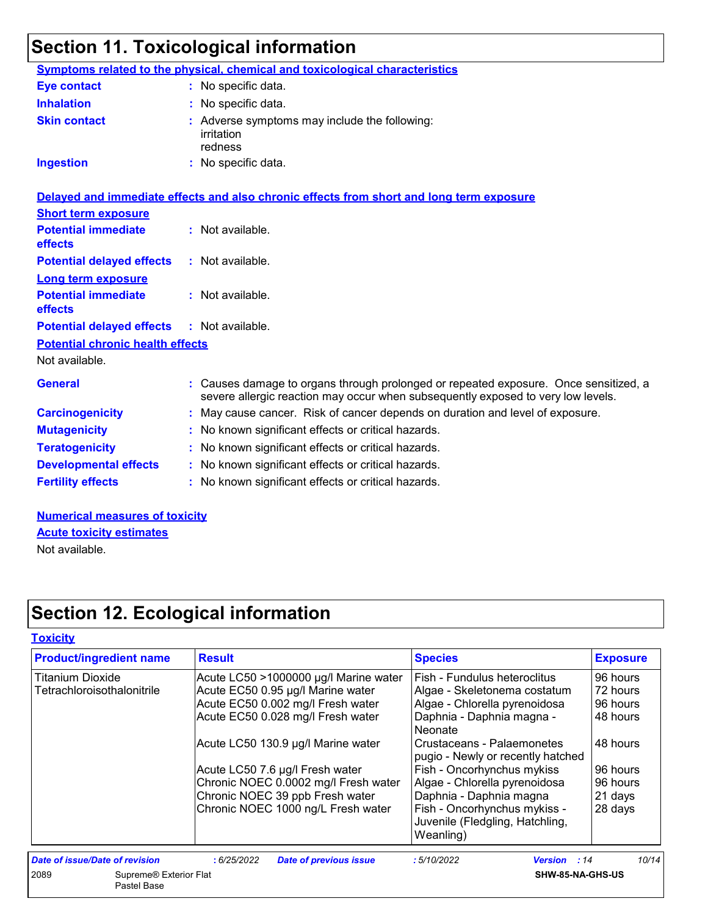# **Section 11. Toxicological information**

| <b>Symptoms related to the physical, chemical and toxicological characteristics</b><br>: No specific data.<br>: No specific data.<br>: Adverse symptoms may include the following:<br>: No specific data.<br>Delayed and immediate effects and also chronic effects from short and long term exposure<br>: Not available. |
|---------------------------------------------------------------------------------------------------------------------------------------------------------------------------------------------------------------------------------------------------------------------------------------------------------------------------|
|                                                                                                                                                                                                                                                                                                                           |
|                                                                                                                                                                                                                                                                                                                           |
|                                                                                                                                                                                                                                                                                                                           |
|                                                                                                                                                                                                                                                                                                                           |
|                                                                                                                                                                                                                                                                                                                           |
|                                                                                                                                                                                                                                                                                                                           |
|                                                                                                                                                                                                                                                                                                                           |
|                                                                                                                                                                                                                                                                                                                           |
| $:$ Not available.                                                                                                                                                                                                                                                                                                        |
|                                                                                                                                                                                                                                                                                                                           |
| : Not available.                                                                                                                                                                                                                                                                                                          |
| : Not available.                                                                                                                                                                                                                                                                                                          |
|                                                                                                                                                                                                                                                                                                                           |
|                                                                                                                                                                                                                                                                                                                           |
| : Causes damage to organs through prolonged or repeated exposure. Once sensitized, a<br>severe allergic reaction may occur when subsequently exposed to very low levels.                                                                                                                                                  |
| : May cause cancer. Risk of cancer depends on duration and level of exposure.                                                                                                                                                                                                                                             |
| : No known significant effects or critical hazards.                                                                                                                                                                                                                                                                       |
| : No known significant effects or critical hazards.                                                                                                                                                                                                                                                                       |
| : No known significant effects or critical hazards.                                                                                                                                                                                                                                                                       |
| : No known significant effects or critical hazards.                                                                                                                                                                                                                                                                       |
|                                                                                                                                                                                                                                                                                                                           |

**Numerical measures of toxicity** Not available. **Acute toxicity estimates**

## **Section 12. Ecological information**

| <b>Product/ingredient name</b>                | <b>Result</b>                               | <b>Species</b>                                                               | <b>Exposure</b> |
|-----------------------------------------------|---------------------------------------------|------------------------------------------------------------------------------|-----------------|
| <b>Titanium Dioxide</b>                       | Acute LC50 >1000000 µg/l Marine water       | Fish - Fundulus heteroclitus                                                 | 96 hours        |
| Tetrachloroisothalonitrile                    | Acute EC50 0.95 µg/l Marine water           | Algae - Skeletonema costatum                                                 | 72 hours        |
|                                               | Acute EC50 0.002 mg/l Fresh water           | Algae - Chlorella pyrenoidosa                                                | 96 hours        |
|                                               | Acute EC50 0.028 mg/l Fresh water           | Daphnia - Daphnia magna -<br>Neonate                                         | 48 hours        |
|                                               | Acute LC50 130.9 µg/l Marine water          | Crustaceans - Palaemonetes<br>pugio - Newly or recently hatched              | 48 hours        |
|                                               | Acute LC50 7.6 µg/l Fresh water             | Fish - Oncorhynchus mykiss                                                   | 96 hours        |
|                                               | Chronic NOEC 0.0002 mg/l Fresh water        | Algae - Chlorella pyrenoidosa                                                | 96 hours        |
|                                               | Chronic NOEC 39 ppb Fresh water             | Daphnia - Daphnia magna                                                      | 21 days         |
|                                               | Chronic NOEC 1000 ng/L Fresh water          | Fish - Oncorhynchus mykiss -<br>Juvenile (Fledgling, Hatchling,<br>Weanling) | 28 days         |
| <b>Date of issue/Date of revision</b>         | <b>Date of previous issue</b><br>:6/25/2022 | :5/10/2022<br><b>Version</b> : 14                                            | 10/14           |
| 2089<br>Supreme® Exterior Flat<br>Pastel Base |                                             | SHW-85-NA-GHS-US                                                             |                 |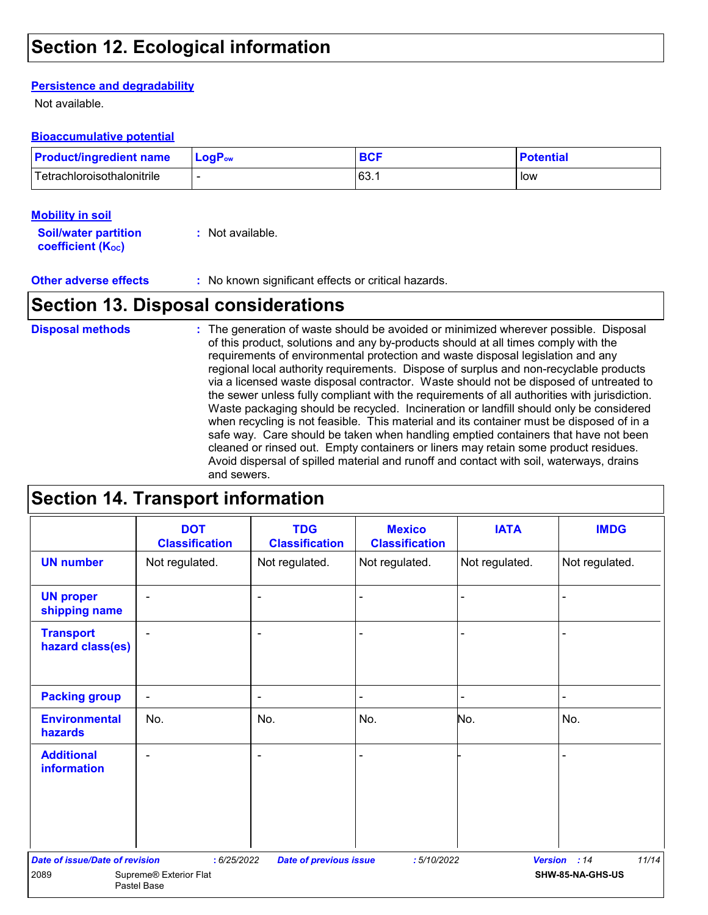### **Section 12. Ecological information**

#### **Persistence and degradability**

Not available.

#### **Bioaccumulative potential**

| <b>Product/ingredient name</b> | $\blacksquare$ Log $\mathsf{P}_{\mathsf{ow}}$ | <b>BCF</b> | <b>Potential</b> |
|--------------------------------|-----------------------------------------------|------------|------------------|
| Tetrachloroisothalonitrile     |                                               | 63.1       | low              |

#### **Mobility in soil**

| <b>Soil/water partition</b>    | : Not available. |
|--------------------------------|------------------|
| coefficient (K <sub>oc</sub> ) |                  |

**Other adverse effects** : No known significant effects or critical hazards.

### **Section 13. Disposal considerations**

The generation of waste should be avoided or minimized wherever possible. Disposal of this product, solutions and any by-products should at all times comply with the requirements of environmental protection and waste disposal legislation and any regional local authority requirements. Dispose of surplus and non-recyclable products via a licensed waste disposal contractor. Waste should not be disposed of untreated to the sewer unless fully compliant with the requirements of all authorities with jurisdiction. Waste packaging should be recycled. Incineration or landfill should only be considered when recycling is not feasible. This material and its container must be disposed of in a safe way. Care should be taken when handling emptied containers that have not been cleaned or rinsed out. Empty containers or liners may retain some product residues. Avoid dispersal of spilled material and runoff and contact with soil, waterways, drains and sewers. **Disposal methods :**

### **Section 14. Transport information**

|                                       | <b>DOT</b><br><b>Classification</b>   | <b>TDG</b><br><b>Classification</b> | <b>Mexico</b><br><b>Classification</b> | <b>IATA</b>    | <b>IMDG</b>           |
|---------------------------------------|---------------------------------------|-------------------------------------|----------------------------------------|----------------|-----------------------|
| <b>UN number</b>                      | Not regulated.                        | Not regulated.                      | Not regulated.                         | Not regulated. | Not regulated.        |
| <b>UN proper</b><br>shipping name     | ٠                                     | $\overline{\phantom{a}}$            |                                        |                |                       |
| <b>Transport</b><br>hazard class(es)  | $\blacksquare$                        | ٠                                   |                                        |                |                       |
| <b>Packing group</b>                  | $\overline{\phantom{a}}$              | $\blacksquare$                      |                                        | $\blacksquare$ | L.                    |
| <b>Environmental</b><br>hazards       | No.                                   | No.                                 | No.                                    | No.            | No.                   |
| <b>Additional</b><br>information      |                                       | ۰                                   |                                        |                |                       |
| <b>Date of issue/Date of revision</b> | :6/25/2022                            | <b>Date of previous issue</b>       | :5/10/2022                             |                | 11/14<br>Version : 14 |
| 2089                                  | Supreme® Exterior Flat<br>Pastel Base |                                     |                                        |                | SHW-85-NA-GHS-US      |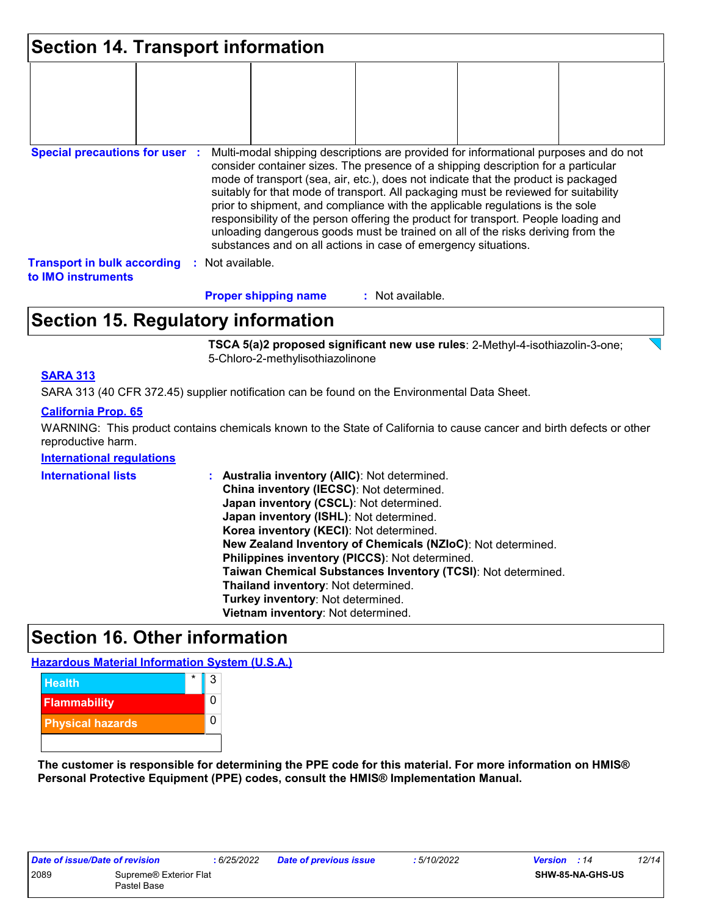| Section 14. Transport information                        |  |                  |                             |                                                                                                                                                                                                                                                                                                                                                                                                                                                                                                                                                                                                                                                                                     |  |
|----------------------------------------------------------|--|------------------|-----------------------------|-------------------------------------------------------------------------------------------------------------------------------------------------------------------------------------------------------------------------------------------------------------------------------------------------------------------------------------------------------------------------------------------------------------------------------------------------------------------------------------------------------------------------------------------------------------------------------------------------------------------------------------------------------------------------------------|--|
|                                                          |  |                  |                             |                                                                                                                                                                                                                                                                                                                                                                                                                                                                                                                                                                                                                                                                                     |  |
| <b>Special precautions for user :</b>                    |  |                  |                             | Multi-modal shipping descriptions are provided for informational purposes and do not<br>consider container sizes. The presence of a shipping description for a particular<br>mode of transport (sea, air, etc.), does not indicate that the product is packaged<br>suitably for that mode of transport. All packaging must be reviewed for suitability<br>prior to shipment, and compliance with the applicable regulations is the sole<br>responsibility of the person offering the product for transport. People loading and<br>unloading dangerous goods must be trained on all of the risks deriving from the<br>substances and on all actions in case of emergency situations. |  |
| <b>Transport in bulk according</b><br>to IMO instruments |  | : Not available. |                             |                                                                                                                                                                                                                                                                                                                                                                                                                                                                                                                                                                                                                                                                                     |  |
|                                                          |  |                  | <b>Proper shipping name</b> | : Not available.                                                                                                                                                                                                                                                                                                                                                                                                                                                                                                                                                                                                                                                                    |  |

## **Section 15. Regulatory information**

**TSCA 5(a)2 proposed significant new use rules**: 2-Methyl-4-isothiazolin-3-one; 5-Chloro-2-methylisothiazolinone

#### **SARA 313**

SARA 313 (40 CFR 372.45) supplier notification can be found on the Environmental Data Sheet.

#### **California Prop. 65**

WARNING: This product contains chemicals known to the State of California to cause cancer and birth defects or other reproductive harm.

#### **International regulations**

| <b>International lists</b> | : Australia inventory (AIIC): Not determined.<br>China inventory (IECSC): Not determined.<br>Japan inventory (CSCL): Not determined.<br>Japan inventory (ISHL): Not determined.<br>Korea inventory (KECI): Not determined.<br>New Zealand Inventory of Chemicals (NZIoC): Not determined.<br>Philippines inventory (PICCS): Not determined.<br>Taiwan Chemical Substances Inventory (TCSI): Not determined.<br>Thailand inventory: Not determined.<br>Turkey inventory: Not determined. |
|----------------------------|-----------------------------------------------------------------------------------------------------------------------------------------------------------------------------------------------------------------------------------------------------------------------------------------------------------------------------------------------------------------------------------------------------------------------------------------------------------------------------------------|
|                            | Vietnam inventory: Not determined.                                                                                                                                                                                                                                                                                                                                                                                                                                                      |

### **Section 16. Other information**

**Hazardous Material Information System (U.S.A.)**



**The customer is responsible for determining the PPE code for this material. For more information on HMIS® Personal Protective Equipment (PPE) codes, consult the HMIS® Implementation Manual.**

| Date of issue/Date of revision |                                    | :6/25/2022 |  |
|--------------------------------|------------------------------------|------------|--|
| 2089                           | Supreme <sup>®</sup> Exterior Flat |            |  |
|                                | Pastel Base                        |            |  |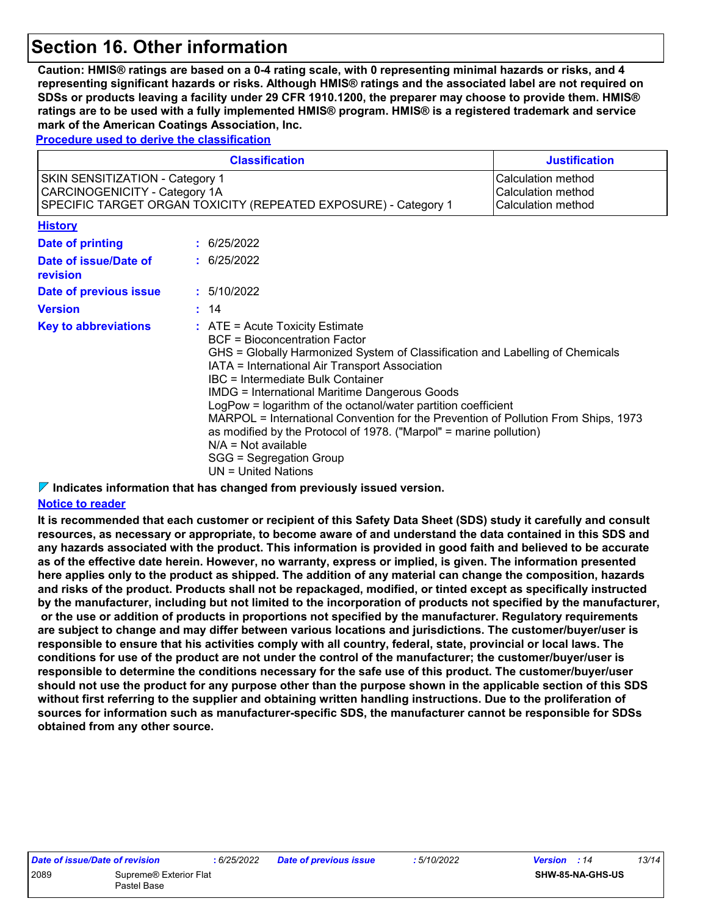### **Section 16. Other information**

**Caution: HMIS® ratings are based on a 0-4 rating scale, with 0 representing minimal hazards or risks, and 4 representing significant hazards or risks. Although HMIS® ratings and the associated label are not required on SDSs or products leaving a facility under 29 CFR 1910.1200, the preparer may choose to provide them. HMIS® ratings are to be used with a fully implemented HMIS® program. HMIS® is a registered trademark and service mark of the American Coatings Association, Inc.**

**Procedure used to derive the classification**

| <b>Classification</b>                                                                                                                                                                                                                                                                                                                                                                                                                                                                                                                                                                                                                                     |                                                                |             | <b>Justification</b> |
|-----------------------------------------------------------------------------------------------------------------------------------------------------------------------------------------------------------------------------------------------------------------------------------------------------------------------------------------------------------------------------------------------------------------------------------------------------------------------------------------------------------------------------------------------------------------------------------------------------------------------------------------------------------|----------------------------------------------------------------|-------------|----------------------|
| <b>SKIN SENSITIZATION - Category 1</b><br>CARCINOGENICITY - Category 1A<br>SPECIFIC TARGET ORGAN TOXICITY (REPEATED EXPOSURE) - Category 1                                                                                                                                                                                                                                                                                                                                                                                                                                                                                                                | Calculation method<br>Calculation method<br>Calculation method |             |                      |
| <b>History</b>                                                                                                                                                                                                                                                                                                                                                                                                                                                                                                                                                                                                                                            |                                                                |             |                      |
| <b>Date of printing</b>                                                                                                                                                                                                                                                                                                                                                                                                                                                                                                                                                                                                                                   |                                                                | : 6/25/2022 |                      |
| Date of issue/Date of<br>revision                                                                                                                                                                                                                                                                                                                                                                                                                                                                                                                                                                                                                         |                                                                | : 6/25/2022 |                      |
| Date of previous issue                                                                                                                                                                                                                                                                                                                                                                                                                                                                                                                                                                                                                                    |                                                                | : 5/10/2022 |                      |
| <b>Version</b>                                                                                                                                                                                                                                                                                                                                                                                                                                                                                                                                                                                                                                            |                                                                | : 14        |                      |
| <b>Key to abbreviations</b><br>$:$ ATE = Acute Toxicity Estimate<br><b>BCF</b> = Bioconcentration Factor<br>GHS = Globally Harmonized System of Classification and Labelling of Chemicals<br>IATA = International Air Transport Association<br><b>IBC</b> = Intermediate Bulk Container<br><b>IMDG = International Maritime Dangerous Goods</b><br>LogPow = logarithm of the octanol/water partition coefficient<br>MARPOL = International Convention for the Prevention of Pollution From Ships, 1973<br>as modified by the Protocol of 1978. ("Marpol" = marine pollution)<br>$N/A = Not available$<br>SGG = Segregation Group<br>$UN = United Nations$ |                                                                |             |                      |

#### **Indicates information that has changed from previously issued version.**

#### **Notice to reader**

**It is recommended that each customer or recipient of this Safety Data Sheet (SDS) study it carefully and consult resources, as necessary or appropriate, to become aware of and understand the data contained in this SDS and any hazards associated with the product. This information is provided in good faith and believed to be accurate as of the effective date herein. However, no warranty, express or implied, is given. The information presented here applies only to the product as shipped. The addition of any material can change the composition, hazards and risks of the product. Products shall not be repackaged, modified, or tinted except as specifically instructed by the manufacturer, including but not limited to the incorporation of products not specified by the manufacturer, or the use or addition of products in proportions not specified by the manufacturer. Regulatory requirements are subject to change and may differ between various locations and jurisdictions. The customer/buyer/user is responsible to ensure that his activities comply with all country, federal, state, provincial or local laws. The conditions for use of the product are not under the control of the manufacturer; the customer/buyer/user is responsible to determine the conditions necessary for the safe use of this product. The customer/buyer/user should not use the product for any purpose other than the purpose shown in the applicable section of this SDS without first referring to the supplier and obtaining written handling instructions. Due to the proliferation of sources for information such as manufacturer-specific SDS, the manufacturer cannot be responsible for SDSs obtained from any other source.**